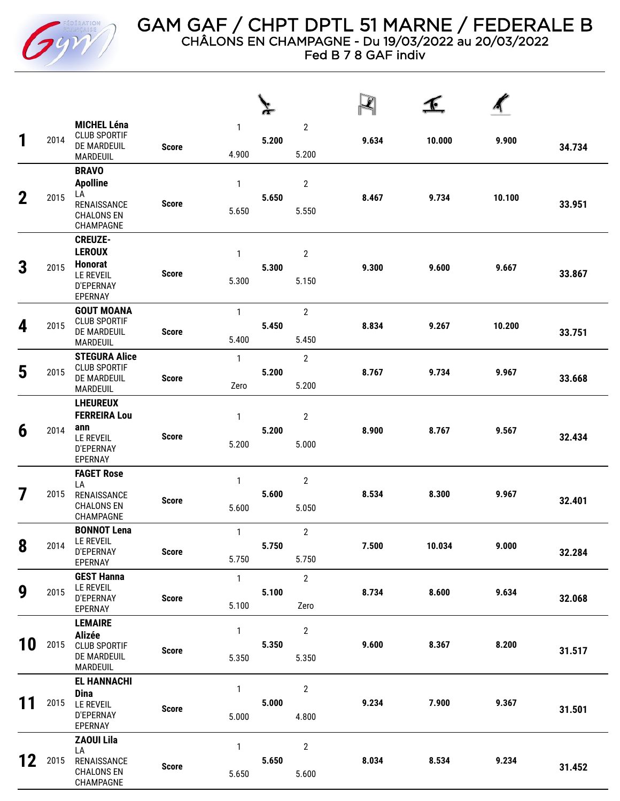

Fed B 7 8 GAF indiv

| 1           | 2014 | <b>MICHEL Léna</b><br><b>CLUB SPORTIF</b><br>DE MARDEUIL<br>MARDEUIL                          | <b>Score</b> | 1<br>4.900            | 5.200 | $\sqrt{2}$<br>5.200     | 9.634 | 10.000 | 9.900  | 34.734 |
|-------------|------|-----------------------------------------------------------------------------------------------|--------------|-----------------------|-------|-------------------------|-------|--------|--------|--------|
| $\mathbf 2$ | 2015 | <b>BRAVO</b><br><b>Apolline</b><br>LA<br>RENAISSANCE<br><b>CHALONS EN</b><br>CHAMPAGNE        | <b>Score</b> | 1<br>5.650            | 5.650 | $\overline{2}$<br>5.550 | 8.467 | 9.734  | 10.100 | 33.951 |
| 3           | 2015 | <b>CREUZE-</b><br><b>LEROUX</b><br><b>Honorat</b><br><b>LE REVEIL</b><br>D'EPERNAY<br>EPERNAY | <b>Score</b> | $\mathbf{1}$<br>5.300 | 5.300 | $\overline{2}$<br>5.150 | 9.300 | 9.600  | 9.667  | 33.867 |
| 4           | 2015 | <b>GOUT MOANA</b><br><b>CLUB SPORTIF</b><br>DE MARDEUIL<br><b>MARDEUIL</b>                    | <b>Score</b> | $\mathbf{1}$<br>5.400 | 5.450 | $\overline{2}$<br>5.450 | 8.834 | 9.267  | 10.200 | 33.751 |
| 5           | 2015 | <b>STEGURA Alice</b><br><b>CLUB SPORTIF</b><br>DE MARDEUIL<br>MARDEUIL                        | <b>Score</b> | $\mathbf{1}$<br>Zero  | 5.200 | $\overline{2}$<br>5.200 | 8.767 | 9.734  | 9.967  | 33.668 |
| 6           | 2014 | <b>LHEUREUX</b><br><b>FERREIRA Lou</b><br>ann<br><b>LE REVEIL</b><br>D'EPERNAY<br>EPERNAY     | <b>Score</b> | $\mathbf{1}$<br>5.200 | 5.200 | $\mathbf 2$<br>5.000    | 8.900 | 8.767  | 9.567  | 32.434 |
| 7           | 2015 | <b>FAGET Rose</b><br>LA<br>RENAISSANCE<br><b>CHALONS EN</b><br>CHAMPAGNE                      | <b>Score</b> | $\mathbf{1}$<br>5.600 | 5.600 | $\overline{2}$<br>5.050 | 8.534 | 8.300  | 9.967  | 32.401 |
| 8           | 2014 | <b>BONNOT Lena</b><br>LE REVEIL<br>D'EPERNAY<br>EPERNAY                                       | <b>Score</b> | $\mathbf{1}$<br>5.750 | 5.750 | $\overline{2}$<br>5.750 | 7.500 | 10.034 | 9.000  | 32.284 |
| 9           | 2015 | <b>GEST Hanna</b><br>LE REVEIL<br><b>D'EPERNAY</b><br>EPERNAY                                 | <b>Score</b> | $\mathbf{1}$<br>5.100 | 5.100 | $\overline{2}$<br>Zero  | 8.734 | 8.600  | 9.634  | 32.068 |
| 10          | 2015 | <b>LEMAIRE</b><br><b>Alizée</b><br><b>CLUB SPORTIF</b><br>DE MARDEUIL<br>MARDEUIL             | <b>Score</b> | $\mathbf{1}$<br>5.350 | 5.350 | $\mathbf{2}$<br>5.350   | 9.600 | 8.367  | 8.200  | 31.517 |
| 11          | 2015 | <b>EL HANNACHI</b><br><b>Dina</b><br>LE REVEIL<br>D'EPERNAY<br>EPERNAY                        | <b>Score</b> | $\mathbf{1}$<br>5.000 | 5.000 | $\overline{2}$<br>4.800 | 9.234 | 7.900  | 9.367  | 31.501 |
| 12          | 2015 | <b>ZAOUI Lila</b><br>LA<br>RENAISSANCE<br><b>CHALONS EN</b><br>CHAMPAGNE                      | <b>Score</b> | 1<br>5.650            | 5.650 | $\overline{2}$<br>5.600 | 8.034 | 8.534  | 9.234  | 31.452 |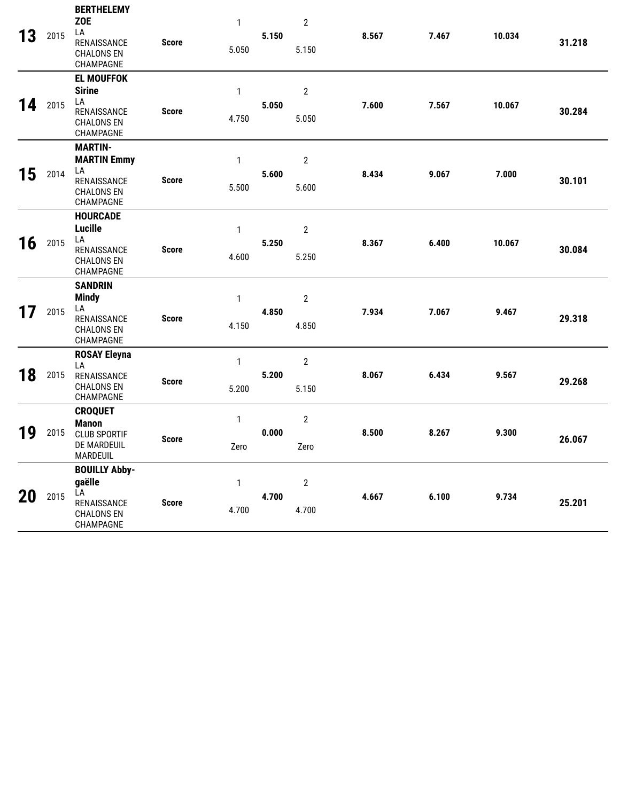| 13 | 2015 | <b>BERTHELEMY</b><br><b>ZOE</b><br>LA<br>RENAISSANCE<br><b>CHALONS EN</b><br>CHAMPAGNE      | <b>Score</b> | 1<br>5.050            | 5.150 | $\overline{2}$<br>5.150 | 8.567 | 7.467 | 10.034 | 31.218 |
|----|------|---------------------------------------------------------------------------------------------|--------------|-----------------------|-------|-------------------------|-------|-------|--------|--------|
| 14 | 2015 | <b>EL MOUFFOK</b><br><b>Sirine</b><br>LA<br>RENAISSANCE<br><b>CHALONS EN</b><br>CHAMPAGNE   | <b>Score</b> | $\mathbf{1}$<br>4.750 | 5.050 | $\mathbf 2$<br>5.050    | 7.600 | 7.567 | 10.067 | 30.284 |
| 15 | 2014 | <b>MARTIN-</b><br><b>MARTIN Emmy</b><br>LA<br>RENAISSANCE<br><b>CHALONS EN</b><br>CHAMPAGNE | <b>Score</b> | 1<br>5.500            | 5.600 | $\mathbf 2$<br>5.600    | 8.434 | 9.067 | 7.000  | 30.101 |
| 16 | 2015 | <b>HOURCADE</b><br><b>Lucille</b><br>LA<br>RENAISSANCE<br><b>CHALONS EN</b><br>CHAMPAGNE    | <b>Score</b> | 1<br>4.600            | 5.250 | $\mathbf 2$<br>5.250    | 8.367 | 6.400 | 10.067 | 30.084 |
| 17 | 2015 | <b>SANDRIN</b><br><b>Mindy</b><br>LA<br>RENAISSANCE<br><b>CHALONS EN</b><br>CHAMPAGNE       | <b>Score</b> | $\mathbf{1}$<br>4.150 | 4.850 | $\overline{2}$<br>4.850 | 7.934 | 7.067 | 9.467  | 29.318 |
| 18 | 2015 | <b>ROSAY Eleyna</b><br>LA<br>RENAISSANCE<br><b>CHALONS EN</b><br>CHAMPAGNE                  | <b>Score</b> | $\mathbf{1}$<br>5.200 | 5.200 | $\mathbf{2}$<br>5.150   | 8.067 | 6.434 | 9.567  | 29.268 |
| 19 | 2015 | <b>CROQUET</b><br><b>Manon</b><br><b>CLUB SPORTIF</b><br>DE MARDEUIL<br>MARDEUIL            | <b>Score</b> | $\mathbf{1}$<br>Zero  | 0.000 | $\overline{2}$<br>Zero  | 8.500 | 8.267 | 9.300  | 26.067 |
| 20 | 2015 | <b>BOUILLY Abby-</b><br>gaëlle<br>LA<br>RENAISSANCE<br><b>CHALONS EN</b><br>CHAMPAGNE       | <b>Score</b> | $\mathbf{1}$<br>4.700 | 4.700 | $\mathbf{2}$<br>4.700   | 4.667 | 6.100 | 9.734  | 25.201 |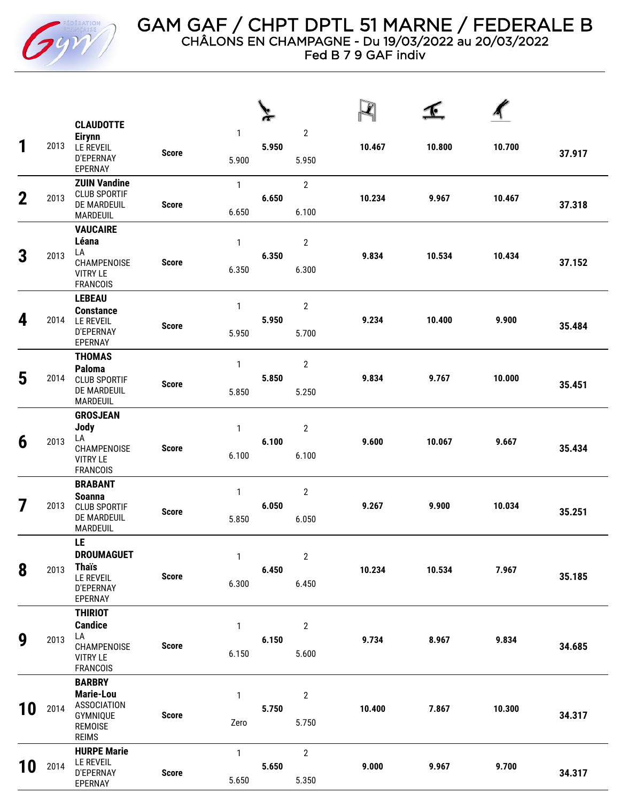

Fed B 7 9 GAF indiv

| 1           | 2013 | <b>CLAUDOTTE</b><br><b>Eirynn</b><br>LE REVEIL<br><b>D'EPERNAY</b><br>EPERNAY                  | <b>Score</b> | 1<br>5.900            | 5.950 | $\overline{2}$<br>5.950          | 10.467 | 10.800 | 10.700 | 37.917 |
|-------------|------|------------------------------------------------------------------------------------------------|--------------|-----------------------|-------|----------------------------------|--------|--------|--------|--------|
| $\mathbf 2$ | 2013 | <b>ZUIN Vandine</b><br><b>CLUB SPORTIF</b><br>DE MARDEUIL<br><b>MARDEUIL</b>                   | <b>Score</b> | $\mathbf{1}$<br>6.650 | 6.650 | $\overline{2}$<br>6.100          | 10.234 | 9.967  | 10.467 | 37.318 |
| 3           | 2013 | <b>VAUCAIRE</b><br>Léana<br>LA<br>CHAMPENOISE<br><b>VITRY LE</b><br><b>FRANCOIS</b>            | <b>Score</b> | 1<br>6.350            | 6.350 | $\sqrt{2}$<br>6.300              | 9.834  | 10.534 | 10.434 | 37.152 |
| 4           | 2014 | <b>LEBEAU</b><br><b>Constance</b><br><b>LE REVEIL</b><br>D'EPERNAY<br>EPERNAY                  | <b>Score</b> | $\mathbf{1}$<br>5.950 | 5.950 | $\overline{\mathbf{c}}$<br>5.700 | 9.234  | 10.400 | 9.900  | 35.484 |
| 5           | 2014 | <b>THOMAS</b><br>Paloma<br><b>CLUB SPORTIF</b><br>DE MARDEUIL<br><b>MARDEUIL</b>               | <b>Score</b> | $\mathbf{1}$<br>5.850 | 5.850 | $\overline{2}$<br>5.250          | 9.834  | 9.767  | 10.000 | 35.451 |
| 6           | 2013 | <b>GROSJEAN</b><br>Jody<br>LA<br>CHAMPENOISE<br><b>VITRY LE</b><br><b>FRANCOIS</b>             | <b>Score</b> | $\mathbf{1}$<br>6.100 | 6.100 | $\overline{2}$<br>6.100          | 9.600  | 10.067 | 9.667  | 35.434 |
| 7           | 2013 | <b>BRABANT</b><br><b>Soanna</b><br><b>CLUB SPORTIF</b><br>DE MARDEUIL<br><b>MARDEUIL</b>       | <b>Score</b> | $\mathbf{1}$<br>5.850 | 6.050 | $\overline{\mathbf{c}}$<br>6.050 | 9.267  | 9.900  | 10.034 | 35.251 |
| 8           | 2013 | LE<br><b>DROUMAGUET</b><br><b>Thais</b><br>LE REVEIL<br>D'EPERNAY<br>EPERNAY                   | <b>Score</b> | 1<br>6.300            | 6.450 | $\sqrt{2}$<br>6.450              | 10.234 | 10.534 | 7.967  | 35.185 |
| 9           | 2013 | <b>THIRIOT</b><br><b>Candice</b><br>LA<br>CHAMPENOISE<br><b>VITRY LE</b><br><b>FRANCOIS</b>    | <b>Score</b> | 1<br>6.150            | 6.150 | $\overline{\mathbf{c}}$<br>5.600 | 9.734  | 8.967  | 9.834  | 34.685 |
| 10          | 2014 | <b>BARBRY</b><br>Marie-Lou<br><b>ASSOCIATION</b><br><b>GYMNIQUE</b><br>REMOISE<br><b>REIMS</b> | <b>Score</b> | 1<br>Zero             | 5.750 | $\boldsymbol{2}$<br>5.750        | 10.400 | 7.867  | 10.300 | 34.317 |
| 10          | 2014 | <b>HURPE Marie</b><br><b>LE REVEIL</b><br>D'EPERNAY<br>EPERNAY                                 | <b>Score</b> | $\mathbf{1}$<br>5.650 | 5.650 | $\mathbf{2}$<br>5.350            | 9.000  | 9.967  | 9.700  | 34.317 |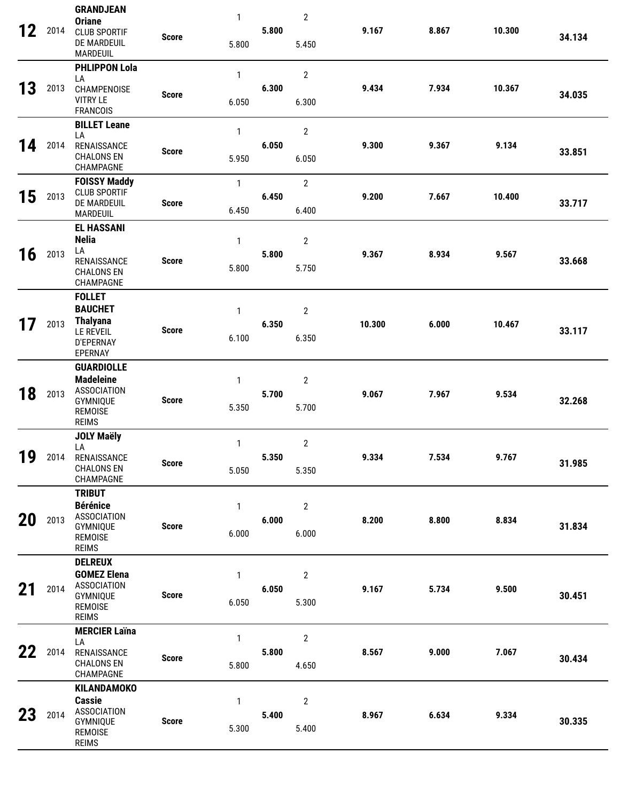| 12 | 2014 | <b>GRANDJEAN</b><br><b>Oriane</b><br><b>CLUB SPORTIF</b><br>DE MARDEUIL<br><b>MARDEUIL</b>                | <b>Score</b> | 1<br>5.800            | 5.800 | $\overline{2}$<br>5.450 | 9.167  | 8.867 | 10.300 | 34.134 |
|----|------|-----------------------------------------------------------------------------------------------------------|--------------|-----------------------|-------|-------------------------|--------|-------|--------|--------|
| 13 | 2013 | <b>PHLIPPON Lola</b><br>LA<br>CHAMPENOISE<br><b>VITRY LE</b><br><b>FRANCOIS</b>                           | <b>Score</b> | $\mathbf{1}$<br>6.050 | 6.300 | $\mathbf{2}$<br>6.300   | 9.434  | 7.934 | 10.367 | 34.035 |
| 14 | 2014 | <b>BILLET Leane</b><br>LA<br>RENAISSANCE<br><b>CHALONS EN</b><br>CHAMPAGNE                                | <b>Score</b> | $\mathbf{1}$<br>5.950 | 6.050 | $\mathbf{2}$<br>6.050   | 9.300  | 9.367 | 9.134  | 33.851 |
| 15 | 2013 | <b>FOISSY Maddy</b><br><b>CLUB SPORTIF</b><br>DE MARDEUIL<br>MARDEUIL                                     | <b>Score</b> | $\mathbf{1}$<br>6.450 | 6.450 | $\overline{2}$<br>6.400 | 9.200  | 7.667 | 10.400 | 33.717 |
| 16 | 2013 | <b>EL HASSANI</b><br><b>Nelia</b><br>LA<br>RENAISSANCE<br><b>CHALONS EN</b><br>CHAMPAGNE                  | <b>Score</b> | 1<br>5.800            | 5.800 | $\overline{2}$<br>5.750 | 9.367  | 8.934 | 9.567  | 33.668 |
| 17 | 2013 | <b>FOLLET</b><br><b>BAUCHET</b><br><b>Thalyana</b><br><b>LE REVEIL</b><br>D'EPERNAY<br>EPERNAY            | <b>Score</b> | $\mathbf{1}$<br>6.100 | 6.350 | $\overline{2}$<br>6.350 | 10.300 | 6.000 | 10.467 | 33.117 |
| 18 | 2013 | <b>GUARDIOLLE</b><br><b>Madeleine</b><br><b>ASSOCIATION</b><br>GYMNIQUE<br><b>REMOISE</b><br><b>REIMS</b> | <b>Score</b> | 1<br>5.350            | 5.700 | 2<br>5.700              | 9.067  | 7.967 | 9.534  | 32.268 |
| 19 | 2014 | <b>JOLY Maëly</b><br>LA<br>RENAISSANCE<br><b>CHALONS EN</b><br>CHAMPAGNE                                  | <b>Score</b> | $\mathbf{1}$<br>5.050 | 5.350 | $\mathbf{2}$<br>5.350   | 9.334  | 7.534 | 9.767  | 31.985 |
| 20 | 2013 | <b>TRIBUT</b><br><b>Bérénice</b><br><b>ASSOCIATION</b><br><b>GYMNIQUE</b><br>REMOISE<br><b>REIMS</b>      | <b>Score</b> | 1<br>6.000            | 6.000 | $\overline{2}$<br>6.000 | 8.200  | 8.800 | 8.834  | 31.834 |
| 21 | 2014 | <b>DELREUX</b><br><b>GOMEZ Elena</b><br><b>ASSOCIATION</b><br>GYMNIQUE<br>REMOISE<br><b>REIMS</b>         | <b>Score</b> | 1<br>6.050            | 6.050 | $\overline{2}$<br>5.300 | 9.167  | 5.734 | 9.500  | 30.451 |
| 22 | 2014 | <b>MERCIER Laïna</b><br>LA<br>RENAISSANCE<br><b>CHALONS EN</b><br>CHAMPAGNE                               | <b>Score</b> | $\mathbf{1}$<br>5.800 | 5.800 | $\overline{2}$<br>4.650 | 8.567  | 9.000 | 7.067  | 30.434 |
| 23 | 2014 | <b>KILANDAMOKO</b><br><b>Cassie</b><br><b>ASSOCIATION</b><br><b>GYMNIQUE</b><br>REMOISE<br><b>REIMS</b>   | <b>Score</b> | 1<br>5.300            | 5.400 | $\overline{2}$<br>5.400 | 8.967  | 6.634 | 9.334  | 30.335 |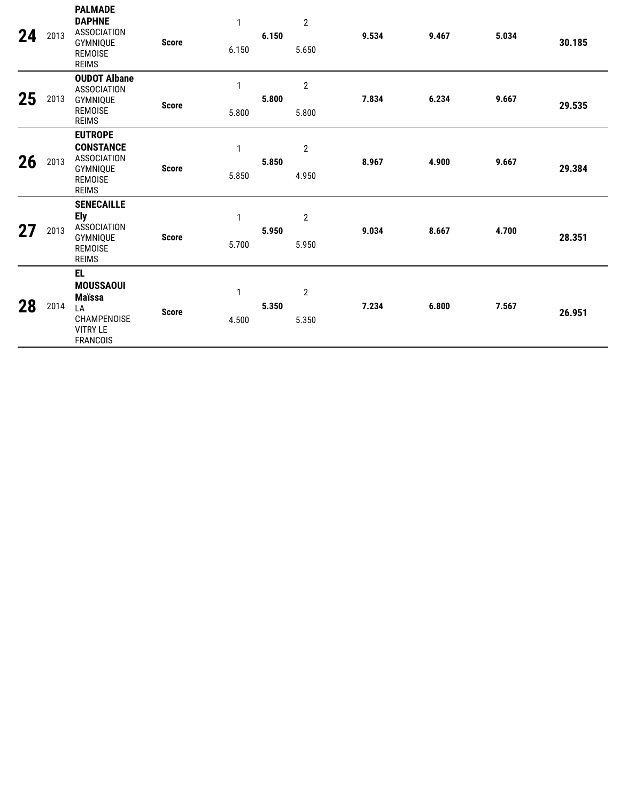| 24 | 2013 | <b>PALMADE</b><br><b>DAPHNE</b><br><b>ASSOCIATION</b><br>GYMNIQUE<br><b>REMOISE</b><br><b>REIMS</b>    | <b>Score</b> | $\mathbf{1}$<br>6.150 | 6.150 | $\overline{2}$<br>5.650 | 9.534 | 9.467 | 5.034 | 30.185 |
|----|------|--------------------------------------------------------------------------------------------------------|--------------|-----------------------|-------|-------------------------|-------|-------|-------|--------|
| 25 | 2013 | <b>OUDOT Albane</b><br><b>ASSOCIATION</b><br>GYMNIQUE<br><b>REMOISE</b><br><b>REIMS</b>                | <b>Score</b> | $\mathbf{1}$<br>5.800 | 5.800 | $\overline{2}$<br>5.800 | 7.834 | 6.234 | 9.667 | 29.535 |
| 26 | 2013 | <b>EUTROPE</b><br><b>CONSTANCE</b><br><b>ASSOCIATION</b><br>GYMNIQUE<br><b>REMOISE</b><br><b>REIMS</b> | <b>Score</b> | $\mathbf{1}$<br>5.850 | 5.850 | $\mathbf{2}$<br>4.950   | 8.967 | 4.900 | 9.667 | 29.384 |
| 27 | 2013 | <b>SENECAILLE</b><br><b>Ely</b><br><b>ASSOCIATION</b><br>GYMNIQUE<br><b>REMOISE</b><br><b>REIMS</b>    | <b>Score</b> | $\mathbf{1}$<br>5.700 | 5.950 | $\overline{2}$<br>5.950 | 9.034 | 8.667 | 4.700 | 28.351 |
| 28 | 2014 | EL.<br><b>MOUSSAOUI</b><br><b>Maïssa</b><br>LA<br>CHAMPENOISE<br><b>VITRY LE</b><br><b>FRANCOIS</b>    | <b>Score</b> | 1<br>4.500            | 5.350 | 2<br>5.350              | 7.234 | 6.800 | 7.567 | 26.951 |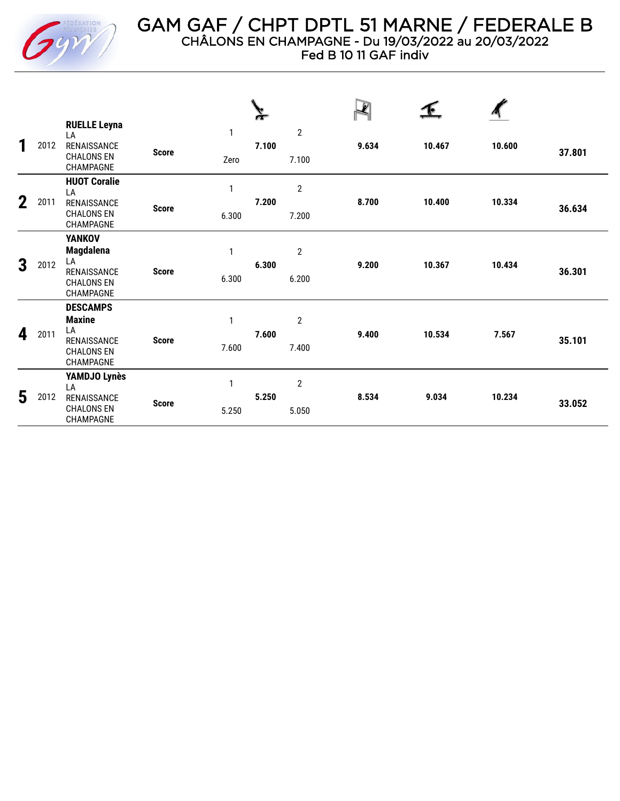

Fed B 10 11 GAF indiv

| 1           | 2012 | <b>RUELLE Leyna</b><br>LA<br>RENAISSANCE<br><b>CHALONS EN</b><br>CHAMPAGNE               | <b>Score</b> | $\mathbf{1}$<br>Zero  | 7.100 | $\overline{2}$<br>7.100 | 9.634 | 10.467 | 10.600 | 37.801 |
|-------------|------|------------------------------------------------------------------------------------------|--------------|-----------------------|-------|-------------------------|-------|--------|--------|--------|
| $\mathbf 2$ | 2011 | <b>HUOT Coralie</b><br>LA<br>RENAISSANCE<br><b>CHALONS EN</b><br>CHAMPAGNE               | <b>Score</b> | 1<br>6.300            | 7.200 | $\overline{2}$<br>7.200 | 8.700 | 10.400 | 10.334 | 36.634 |
| 3           | 2012 | <b>YANKOV</b><br><b>Magdalena</b><br>LA<br>RENAISSANCE<br><b>CHALONS EN</b><br>CHAMPAGNE | <b>Score</b> | 1<br>6.300            | 6.300 | $\sqrt{2}$<br>6.200     | 9.200 | 10.367 | 10.434 | 36.301 |
| 4           | 2011 | <b>DESCAMPS</b><br><b>Maxine</b><br>LA<br>RENAISSANCE<br><b>CHALONS EN</b><br>CHAMPAGNE  | <b>Score</b> | 1<br>7.600            | 7.600 | $\overline{2}$<br>7.400 | 9.400 | 10.534 | 7.567  | 35.101 |
| 5           | 2012 | YAMDJO Lynès<br>LA<br>RENAISSANCE<br><b>CHALONS EN</b><br><b>CHAMPAGNE</b>               | <b>Score</b> | $\mathbf{1}$<br>5.250 | 5.250 | $\overline{2}$<br>5.050 | 8.534 | 9.034  | 10.234 | 33.052 |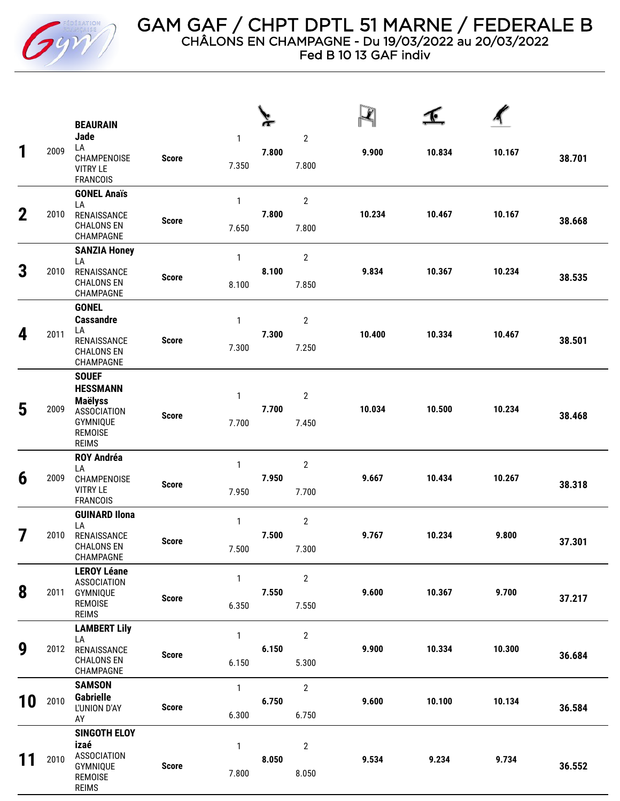

GAM GAF / CHPT DPTL 51 MARNE / FEDERALE B CHÂLONS EN CHAMPAGNE - Du 19/03/2022 au 20/03/2022 Fed B 10 13 GAF indiv

 $\Phi$ **BEAURAIN Jade** 1 2 LA **1** <sup>2009</sup> **7.800 9.900 10.834 10.167 38.701** CHAMPENOISE **Score** 7.350 7.800 VITRY LE FRANCOIS **GONEL Anaïs** 1 2 LA **2** <sup>2010</sup> RENAISSANCE **7.800 10.234 10.467 10.167 38.668 Score** CHALONS EN 7.650 7.800 CHAMPAGNE **SANZIA Honey** 1 2 LA **3** <sup>2010</sup> RENAISSANCE **8.100 9.834 10.367 10.234 38.535 Score** CHALONS EN 8.100 7.850 CHAMPAGNE **GONEL Cassandre** 1 2 LA **4** <sup>2011</sup> **7.300 10.400 10.334 10.467 38.501** RENAISSANCE **Score** 7.300 7.250 CHALONS EN CHAMPAGNE **SOUEF HESSMANN** 1 2 **Maëlyss 5** <sup>2009</sup> ASSOCIATION **7.700 10.034 10.500 10.234 38.468 Score** GYMNIQUE 7.700 7.450 REMOISE REIMS **ROY Andréa** 1 2 LA **6** <sup>2009</sup> CHAMPENOISE **7.950 9.667 10.434 10.267 38.318 Score** VITRY LE 7.950 7.700 FRANCOIS **GUINARD Ilona** 1 2 LA **7** <sup>2010</sup> RENAISSANCE **7.500 9.767 10.234 9.800 37.301 Score** CHALONS EN 7.500 7.300 CHAMPAGNE **LEROY Léane** 1 2 ASSOCIATION **8** <sup>2011</sup> GYMNIQUE **7.550 9.600 10.367 9.700 37.217 Score** REMOISE 6.350 7.550 REIMS **LAMBERT Lily** 1 2 LA **9** <sup>2012</sup> RENAISSANCE **6.150 9.900 10.334 10.300 36.684 Score** CHALONS EN 6.150 5.300 CHAMPAGNE **SAMSON** 1 2 **Gabrielle 10** <sup>2010</sup> **6.750 9.600 10.100 10.134 36.584** L'UNION D'AY **Score** 6.300 6.750 AY **SINGOTH ELOY izaé** 1 2 ASSOCIATION **11** <sup>2010</sup> **8.050 9.534 9.234 9.734 36.552** GYMNIQUE **Score** 7.800 8.050 REMOISE REIMS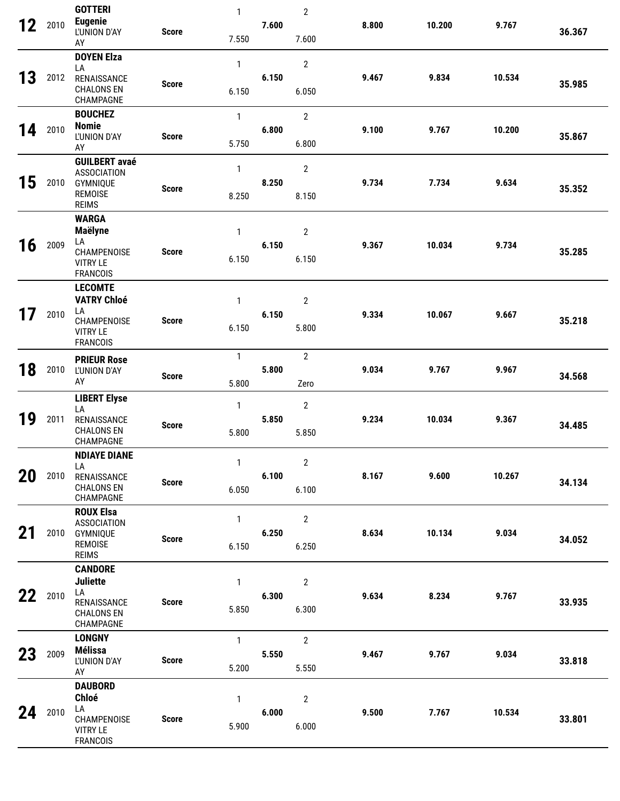|    |      | <b>GOTTERI</b>                                                          |              | $\mathbf{1}$          |       | $\mathbf{2}$            |       |        |        |        |
|----|------|-------------------------------------------------------------------------|--------------|-----------------------|-------|-------------------------|-------|--------|--------|--------|
| 12 | 2010 | <b>Eugenie</b><br>L'UNION D'AY<br>AY                                    | <b>Score</b> | 7.550                 | 7.600 | 7.600                   | 8.800 | 10.200 | 9.767  | 36.367 |
|    |      | <b>DOYEN Elza</b><br>LA                                                 |              | $\mathbf{1}$          |       | $\mathbf{2}$            |       |        |        |        |
| 13 | 2012 | RENAISSANCE<br><b>CHALONS EN</b><br>CHAMPAGNE                           | <b>Score</b> | 6.150                 | 6.150 | 6.050                   | 9.467 | 9.834  | 10.534 | 35.985 |
|    |      | <b>BOUCHEZ</b>                                                          |              | $\mathbf{1}$          |       | $\overline{2}$          |       |        |        |        |
| 14 | 2010 | <b>Nomie</b><br>L'UNION D'AY<br>AY                                      | <b>Score</b> | 5.750                 | 6.800 | 6.800                   | 9.100 | 9.767  | 10.200 | 35.867 |
| 15 | 2010 | <b>GUILBERT avaé</b><br><b>ASSOCIATION</b><br>GYMNIQUE                  |              | 1                     | 8.250 | $\mathbf{2}$            | 9.734 | 7.734  | 9.634  |        |
|    |      | <b>REMOISE</b><br><b>REIMS</b>                                          | <b>Score</b> | 8.250                 |       | 8.150                   |       |        |        | 35.352 |
|    |      | <b>WARGA</b><br><b>Maëlyne</b>                                          |              | $\mathbf{1}$          |       | $\overline{2}$          |       |        |        |        |
| 16 | 2009 | LA<br>CHAMPENOISE<br><b>VITRY LE</b><br><b>FRANCOIS</b>                 | <b>Score</b> | 6.150                 | 6.150 | 6.150                   | 9.367 | 10.034 | 9.734  | 35.285 |
|    |      | <b>LECOMTE</b><br><b>VATRY Chloé</b>                                    |              |                       |       |                         |       |        |        |        |
| 17 | 2010 | LA                                                                      |              | $\mathbf{1}$          | 6.150 | $\overline{2}$          | 9.334 | 10.067 | 9.667  |        |
|    |      | CHAMPENOISE<br><b>VITRY LE</b><br><b>FRANCOIS</b>                       | <b>Score</b> | 6.150                 |       | 5.800                   |       |        |        | 35.218 |
|    | 2010 | <b>PRIEUR Rose</b>                                                      |              | $\mathbf{1}$          | 5.800 | $\overline{2}$          | 9.034 | 9.767  | 9.967  |        |
| 18 |      | L'UNION D'AY<br>AY                                                      | <b>Score</b> | 5.800                 |       | Zero                    |       |        |        | 34.568 |
|    |      | <b>LIBERT Elyse</b><br>LA                                               |              | 1                     |       | $\overline{2}$          |       |        |        |        |
| 19 | 2011 | RENAISSANCE<br><b>CHALONS EN</b><br>CHAMPAGNE                           | <b>Score</b> | 5.800                 | 5.850 | 5.850                   | 9.234 | 10.034 | 9.367  | 34.485 |
|    |      | <b>NDIAYE DIANE</b><br>LA                                               |              | $\mathbf{1}$          |       | $\overline{2}$          |       |        |        |        |
| 20 | 2010 | RENAISSANCE<br><b>CHALONS EN</b><br>CHAMPAGNE                           | <b>Score</b> | 6.050                 | 6.100 | 6.100                   | 8.167 | 9.600  | 10.267 | 34.134 |
|    |      | <b>ROUX Elsa</b><br><b>ASSOCIATION</b>                                  |              | $\mathbf{1}$          |       | $\overline{2}$          |       |        |        |        |
| 21 | 2010 | GYMNIQUE<br><b>REMOISE</b><br><b>REIMS</b>                              | <b>Score</b> | 6.150                 | 6.250 | 6.250                   | 8.634 | 10.134 | 9.034  | 34.052 |
|    |      | <b>CANDORE</b><br><b>Juliette</b>                                       |              | 1                     |       | $\overline{2}$          |       |        |        |        |
| 22 | 2010 | LA<br>RENAISSANCE<br><b>CHALONS EN</b><br>CHAMPAGNE                     | <b>Score</b> | 5.850                 | 6.300 | 6.300                   | 9.634 | 8.234  | 9.767  | 33.935 |
|    |      | <b>LONGNY</b>                                                           |              | $\mathbf{1}$          |       | $\mathbf{2}$            |       |        |        |        |
| 23 | 2009 | <b>Mélissa</b><br>L'UNION D'AY<br>AY                                    | <b>Score</b> | 5.200                 | 5.550 | 5.550                   | 9.467 | 9.767  | 9.034  | 33.818 |
|    |      | <b>DAUBORD</b>                                                          |              |                       |       |                         |       |        |        |        |
| 24 | 2010 | <b>Chloé</b><br>LA<br>CHAMPENOISE<br><b>VITRY LE</b><br><b>FRANCOIS</b> | <b>Score</b> | $\mathbf{1}$<br>5.900 | 6.000 | $\overline{2}$<br>6.000 | 9.500 | 7.767  | 10.534 | 33.801 |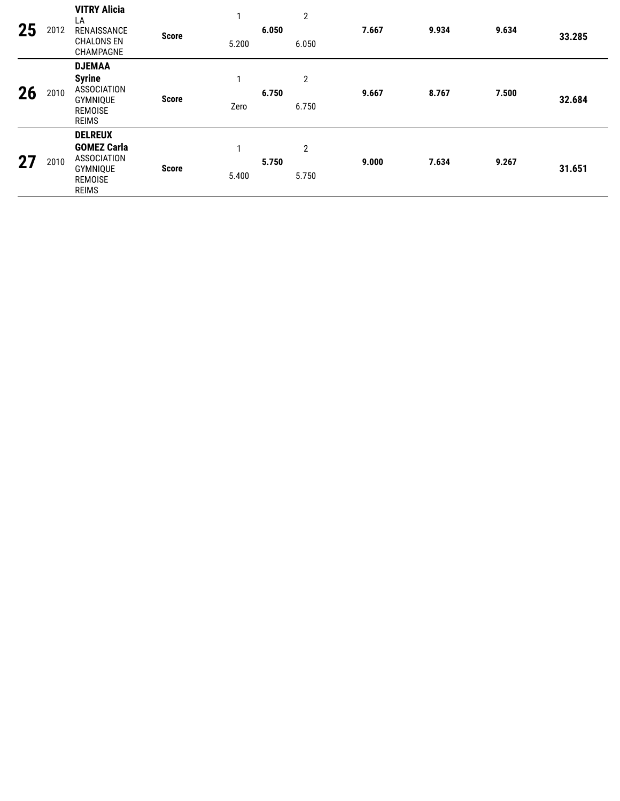| 25 | 2012 | <b>VITRY Alicia</b><br>LA<br>RENAISSANCE<br><b>CHALONS EN</b><br>CHAMPAGNE                               | <b>Score</b> | 5.200      | 6.050 | $\mathbf{2}$<br>6.050   | 7.667 | 9.934 | 9.634 | 33.285 |
|----|------|----------------------------------------------------------------------------------------------------------|--------------|------------|-------|-------------------------|-------|-------|-------|--------|
| 26 | 2010 | <b>DJEMAA</b><br><b>Syrine</b><br><b>ASSOCIATION</b><br>GYMNIQUE<br><b>REMOISE</b><br><b>REIMS</b>       | <b>Score</b> | 1<br>Zero  | 6.750 | $\mathbf{2}$<br>6.750   | 9.667 | 8.767 | 7.500 | 32.684 |
| 27 | 2010 | <b>DELREUX</b><br><b>GOMEZ Carla</b><br><b>ASSOCIATION</b><br>GYMNIQUE<br><b>REMOISE</b><br><b>REIMS</b> | <b>Score</b> | 1<br>5.400 | 5.750 | $\overline{2}$<br>5.750 | 9.000 | 7.634 | 9.267 | 31.651 |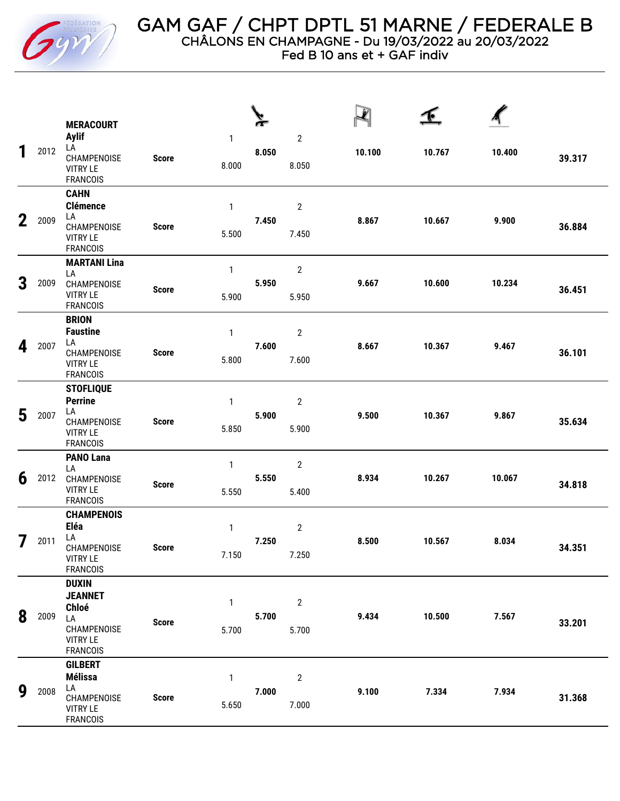

Fed B 10 ans et + GAF indiv

|             |      | <b>MERACOURT</b>                                                                                   |              |                       |       |                           |        |        |        |        |
|-------------|------|----------------------------------------------------------------------------------------------------|--------------|-----------------------|-------|---------------------------|--------|--------|--------|--------|
| 1           | 2012 | <b>Aylif</b><br>LA<br>CHAMPENOISE<br><b>VITRY LE</b><br><b>FRANCOIS</b>                            | <b>Score</b> | 1<br>8.000            | 8.050 | $\sqrt{2}$<br>8.050       | 10.100 | 10.767 | 10.400 | 39.317 |
| $\mathbf 2$ | 2009 | <b>CAHN</b><br><b>Clémence</b><br>LA<br>CHAMPENOISE<br><b>VITRY LE</b><br><b>FRANCOIS</b>          | <b>Score</b> | 1<br>5.500            | 7.450 | $\mathbf{2}$<br>7.450     | 8.867  | 10.667 | 9.900  | 36.884 |
| 3           | 2009 | <b>MARTANI Lina</b><br>LA<br>CHAMPENOISE<br><b>VITRY LE</b><br><b>FRANCOIS</b>                     | <b>Score</b> | $\mathbf{1}$<br>5.900 | 5.950 | $\mathbf{2}$<br>5.950     | 9.667  | 10.600 | 10.234 | 36.451 |
| 4           | 2007 | <b>BRION</b><br><b>Faustine</b><br>LA<br>CHAMPENOISE<br><b>VITRY LE</b><br><b>FRANCOIS</b>         | <b>Score</b> | 1<br>5.800            | 7.600 | $\boldsymbol{2}$<br>7.600 | 8.667  | 10.367 | 9.467  | 36.101 |
| 5           | 2007 | <b>STOFLIQUE</b><br><b>Perrine</b><br>LA<br>CHAMPENOISE<br><b>VITRY LE</b><br><b>FRANCOIS</b>      | <b>Score</b> | $\mathbf{1}$<br>5.850 | 5.900 | $\sqrt{2}$<br>5.900       | 9.500  | 10.367 | 9.867  | 35.634 |
| 6           | 2012 | <b>PANO Lana</b><br>LA<br>CHAMPENOISE<br><b>VITRY LE</b><br><b>FRANCOIS</b>                        | <b>Score</b> | $\mathbf{1}$<br>5.550 | 5.550 | $\mathbf{2}$<br>5.400     | 8.934  | 10.267 | 10.067 | 34.818 |
| 7           | 2011 | <b>CHAMPENOIS</b><br>Eléa<br>LA<br>CHAMPENOISE<br><b>VITRY LE</b><br><b>FRANCOIS</b>               | <b>Score</b> | 1<br>7.150            | 7.250 | $\sqrt{2}$<br>7.250       | 8.500  | 10.567 | 8.034  | 34.351 |
| 8           | 2009 | <b>DUXIN</b><br><b>JEANNET</b><br>Chloé<br>LA<br>CHAMPENOISE<br><b>VITRY LE</b><br><b>FRANCOIS</b> | <b>Score</b> | 1<br>5.700            | 5.700 | $\overline{2}$<br>5.700   | 9.434  | 10.500 | 7.567  | 33.201 |
| 9           | 2008 | <b>GILBERT</b><br><b>Mélissa</b><br>LA<br>CHAMPENOISE<br><b>VITRY LE</b><br><b>FRANCOIS</b>        | <b>Score</b> | $\mathbf{1}$<br>5.650 | 7.000 | $\overline{2}$<br>7.000   | 9.100  | 7.334  | 7.934  | 31.368 |